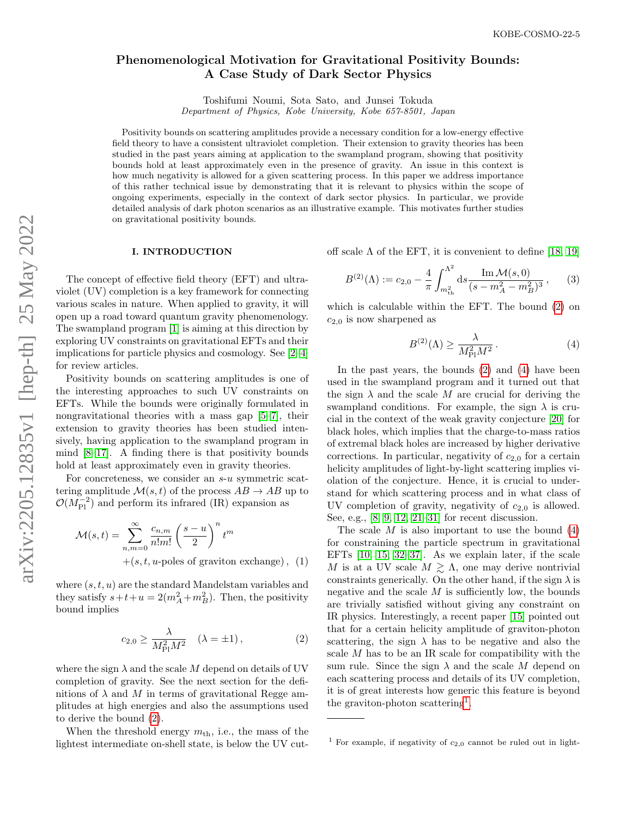# Phenomenological Motivation for Gravitational Positivity Bounds: A Case Study of Dark Sector Physics

Toshifumi Noumi, Sota Sato, and Junsei Tokuda

Department of Physics, Kobe University, Kobe 657-8501, Japan

Positivity bounds on scattering amplitudes provide a necessary condition for a low-energy effective field theory to have a consistent ultraviolet completion. Their extension to gravity theories has been studied in the past years aiming at application to the swampland program, showing that positivity bounds hold at least approximately even in the presence of gravity. An issue in this context is how much negativity is allowed for a given scattering process. In this paper we address importance of this rather technical issue by demonstrating that it is relevant to physics within the scope of ongoing experiments, especially in the context of dark sector physics. In particular, we provide detailed analysis of dark photon scenarios as an illustrative example. This motivates further studies on gravitational positivity bounds.

#### I. INTRODUCTION

The concept of effective field theory (EFT) and ultraviolet (UV) completion is a key framework for connecting various scales in nature. When applied to gravity, it will open up a road toward quantum gravity phenomenology. The swampland program [\[1\]](#page-5-0) is aiming at this direction by exploring UV constraints on gravitational EFTs and their implications for particle physics and cosmology. See [\[2](#page-5-1)[–4\]](#page-5-2) for review articles.

Positivity bounds on scattering amplitudes is one of the interesting approaches to such UV constraints on EFTs. While the bounds were originally formulated in nongravitational theories with a mass gap [\[5–](#page-5-3)[7\]](#page-5-4), their extension to gravity theories has been studied intensively, having application to the swampland program in mind  $[8-17]$  $[8-17]$ . A finding there is that positivity bounds hold at least approximately even in gravity theories.

For concreteness, we consider an s-u symmetric scattering amplitude  $\mathcal{M}(s,t)$  of the process  $AB \to AB$  up to  $\mathcal{O}(M_{\rm Pl}^{-2})$  and perform its infrared (IR) expansion as

$$
\mathcal{M}(s,t) = \sum_{n,m=0}^{\infty} \frac{c_{n,m}}{n!m!} \left(\frac{s-u}{2}\right)^n t^m
$$
  
+(s,t,u-poles of graviton exchange), (1)

where  $(s, t, u)$  are the standard Mandelstam variables and they satisfy  $s+t+u=2(m_A^2+m_B^2)$ . Then, the positivity bound implies

<span id="page-0-0"></span>
$$
c_{2,0} \ge \frac{\lambda}{M_{\rm Pl}^2 M^2} \quad (\lambda = \pm 1), \tag{2}
$$

where the sign  $\lambda$  and the scale M depend on details of UV completion of gravity. See the next section for the definitions of  $\lambda$  and M in terms of gravitational Regge amplitudes at high energies and also the assumptions used to derive the bound [\(2\)](#page-0-0).

When the threshold energy  $m_{th}$ , i.e., the mass of the lightest intermediate on-shell state, is below the UV cutoff scale  $\Lambda$  of the EFT, it is convenient to define [\[18,](#page-5-7) [19\]](#page-5-8)

$$
B^{(2)}(\Lambda) := c_{2,0} - \frac{4}{\pi} \int_{m_{\text{th}}^2}^{\Lambda^2} ds \frac{\text{Im}\,\mathcal{M}(s,0)}{(s - m_A^2 - m_B^2)^3},\qquad(3)
$$

which is calculable within the EFT. The bound [\(2\)](#page-0-0) on  $c_{2,0}$  is now sharpened as

<span id="page-0-1"></span>
$$
B^{(2)}(\Lambda) \ge \frac{\lambda}{M_{\rm Pl}^2 M^2} \,. \tag{4}
$$

In the past years, the bounds [\(2\)](#page-0-0) and [\(4\)](#page-0-1) have been used in the swampland program and it turned out that the sign  $\lambda$  and the scale M are crucial for deriving the swampland conditions. For example, the sign  $\lambda$  is crucial in the context of the weak gravity conjecture [\[20\]](#page-5-9) for black holes, which implies that the charge-to-mass ratios of extremal black holes are increased by higher derivative corrections. In particular, negativity of  $c_{2,0}$  for a certain helicity amplitudes of light-by-light scattering implies violation of the conjecture. Hence, it is crucial to understand for which scattering process and in what class of UV completion of gravity, negativity of  $c_{2,0}$  is allowed. See, e.g., [\[8,](#page-5-5) [9,](#page-5-10) [12,](#page-5-11) [21](#page-5-12)[–31\]](#page-5-13) for recent discussion.

The scale  $M$  is also important to use the bound  $(4)$ for constraining the particle spectrum in gravitational EFTs [\[10,](#page-5-14) [15,](#page-5-15) [32](#page-5-16)[–37\]](#page-5-17). As we explain later, if the scale M is at a UV scale  $M \gtrsim \Lambda$ , one may derive nontrivial constraints generically. On the other hand, if the sign  $\lambda$  is negative and the scale  $M$  is sufficiently low, the bounds are trivially satisfied without giving any constraint on IR physics. Interestingly, a recent paper [\[15\]](#page-5-15) pointed out that for a certain helicity amplitude of graviton-photon scattering, the sign  $\lambda$  has to be negative and also the scale M has to be an IR scale for compatibility with the sum rule. Since the sign  $\lambda$  and the scale M depend on each scattering process and details of its UV completion, it is of great interests how generic this feature is beyond the graviton-photon scattering<sup>[1](#page-0-2)</sup>.

<span id="page-0-2"></span><sup>&</sup>lt;sup>1</sup> For example, if negativity of  $c_{2,0}$  cannot be ruled out in light-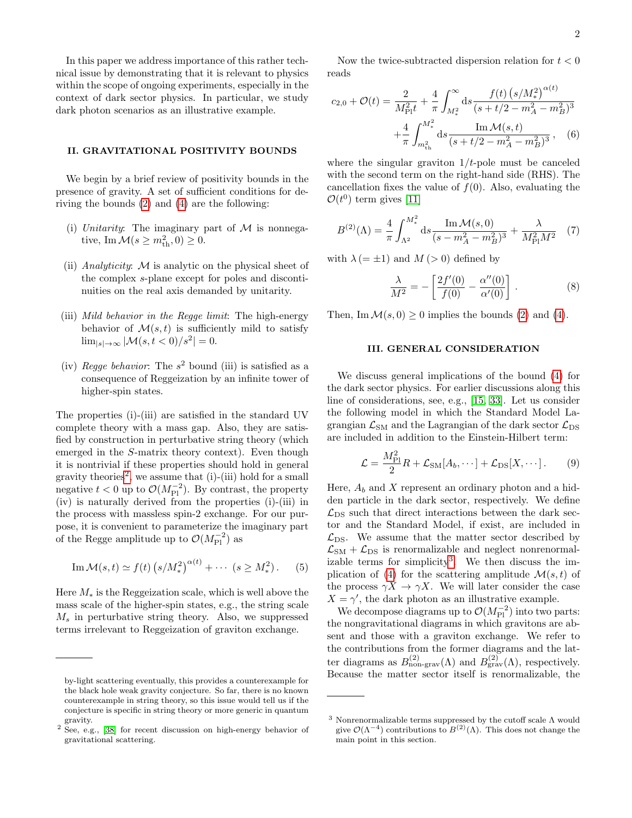In this paper we address importance of this rather technical issue by demonstrating that it is relevant to physics within the scope of ongoing experiments, especially in the context of dark sector physics. In particular, we study dark photon scenarios as an illustrative example.

#### II. GRAVITATIONAL POSITIVITY BOUNDS

We begin by a brief review of positivity bounds in the presence of gravity. A set of sufficient conditions for deriving the bounds [\(2\)](#page-0-0) and [\(4\)](#page-0-1) are the following:

- (i) Unitarity: The imaginary part of  $\mathcal M$  is nonnegative, Im  $\mathcal{M}(s \ge m_{\rm th}^2, 0) \ge 0$ .
- (ii) Analyticity:  $M$  is analytic on the physical sheet of the complex s-plane except for poles and discontinuities on the real axis demanded by unitarity.
- (iii) Mild behavior in the Regge limit: The high-energy behavior of  $\mathcal{M}(s,t)$  is sufficiently mild to satisfy  $\lim_{|s| \to \infty} |\mathcal{M}(s, t < 0)/s^2| = 0.$
- (iv) Regge behavior: The  $s^2$  bound (iii) is satisfied as a consequence of Reggeization by an infinite tower of higher-spin states.

The properties (i)-(iii) are satisfied in the standard UV complete theory with a mass gap. Also, they are satisfied by construction in perturbative string theory (which emerged in the S-matrix theory context). Even though it is nontrivial if these properties should hold in general gravity theories<sup>[2](#page-1-0)</sup>, we assume that  $(i)$ - $(iii)$  hold for a small negative  $t < 0$  up to  $\mathcal{O}(M_{\rm Pl}^{-2})$ . By contrast, the property (iv) is naturally derived from the properties (i)-(iii) in the process with massless spin-2 exchange. For our purpose, it is convenient to parameterize the imaginary part of the Regge amplitude up to  $\mathcal{O}(M_{\rm Pl}^{-2})$  as

Im 
$$
\mathcal{M}(s,t) \simeq f(t) \left( s/M_*^2 \right)^{\alpha(t)} + \cdots \left( s \ge M_*^2 \right).
$$
 (5)

Here  $M_*$  is the Reggeization scale, which is well above the mass scale of the higher-spin states, e.g., the string scale  $M_s$  in perturbative string theory. Also, we suppressed terms irrelevant to Reggeization of graviton exchange.

Now the twice-subtracted dispersion relation for  $t < 0$ reads

$$
c_{2,0} + \mathcal{O}(t) = \frac{2}{M_{\text{Pl}}^2 t} + \frac{4}{\pi} \int_{M_*^2}^{\infty} ds \frac{f(t) (s/M_*^2)^{\alpha(t)}}{(s+t/2 - m_A^2 - m_B^2)^3} + \frac{4}{\pi} \int_{m_{\text{th}}^2}^{M_*^2} ds \frac{\text{Im } \mathcal{M}(s,t)}{(s+t/2 - m_A^2 - m_B^2)^3}, \quad (6)
$$

where the singular graviton  $1/t$ -pole must be canceled with the second term on the right-hand side (RHS). The cancellation fixes the value of  $f(0)$ . Also, evaluating the  $\mathcal{O}(t^0)$  term gives [\[11\]](#page-5-19)

$$
B^{(2)}(\Lambda) = \frac{4}{\pi} \int_{\Lambda^2}^{M_*^2} ds \frac{\text{Im} \mathcal{M}(s,0)}{(s - m_A^2 - m_B^2)^3} + \frac{\lambda}{M_{\text{Pl}}^2 M^2} \tag{7}
$$

with  $\lambda (= \pm 1)$  and  $M (> 0)$  defined by

<span id="page-1-2"></span>
$$
\frac{\lambda}{M^2} = -\left[\frac{2f'(0)}{f(0)} - \frac{\alpha''(0)}{\alpha'(0)}\right].
$$
 (8)

Then, Im  $\mathcal{M}(s, 0) \geq 0$  implies the bounds [\(2\)](#page-0-0) and [\(4\)](#page-0-1).

#### III. GENERAL CONSIDERATION

We discuss general implications of the bound [\(4\)](#page-0-1) for the dark sector physics. For earlier discussions along this line of considerations, see, e.g., [\[15,](#page-5-15) [33\]](#page-5-20). Let us consider the following model in which the Standard Model Lagrangian  $\mathcal{L}_{\text{SM}}$  and the Lagrangian of the dark sector  $\mathcal{L}_{\text{DS}}$ are included in addition to the Einstein-Hilbert term:

<span id="page-1-3"></span>
$$
\mathcal{L} = \frac{M_{\rm Pl}^2}{2} R + \mathcal{L}_{\rm SM}[A_b, \cdots] + \mathcal{L}_{\rm DS}[X, \cdots].
$$
 (9)

Here,  $A_b$  and X represent an ordinary photon and a hidden particle in the dark sector, respectively. We define  $\mathcal{L}_{\text{DS}}$  such that direct interactions between the dark sector and the Standard Model, if exist, are included in  $\mathcal{L}_{DS}$ . We assume that the matter sector described by  $\mathcal{L}_{\text{SM}} + \mathcal{L}_{\text{DS}}$  is renormalizable and neglect nonrenormal-izable terms for simplicity<sup>[3](#page-1-1)</sup>. We then discuss the im-plication of [\(4\)](#page-0-1) for the scattering amplitude  $\mathcal{M}(s,t)$  of the process  $\gamma X \to \gamma X$ . We will later consider the case  $X = \gamma'$ , the dark photon as an illustrative example.

We decompose diagrams up to  $\mathcal{O}(M_{\rm Pl}^{-2})$  into two parts: the nongravitational diagrams in which gravitons are absent and those with a graviton exchange. We refer to the contributions from the former diagrams and the latter diagrams as  $B_{\text{non-grav}}^{(2)}(\Lambda)$  and  $B_{\text{grav}}^{(2)}(\Lambda)$ , respectively. Because the matter sector itself is renormalizable, the

by-light scattering eventually, this provides a counterexample for the black hole weak gravity conjecture. So far, there is no known counterexample in string theory, so this issue would tell us if the conjecture is specific in string theory or more generic in quantum gravity.

<span id="page-1-0"></span><sup>2</sup> See, e.g., [\[38\]](#page-5-18) for recent discussion on high-energy behavior of gravitational scattering.

<span id="page-1-1"></span><sup>3</sup> Nonrenormalizable terms suppressed by the cutoff scale Λ would give  $\mathcal{O}(\Lambda^{-4})$  contributions to  $B^{(2)}(\Lambda)$ . This does not change the main point in this section.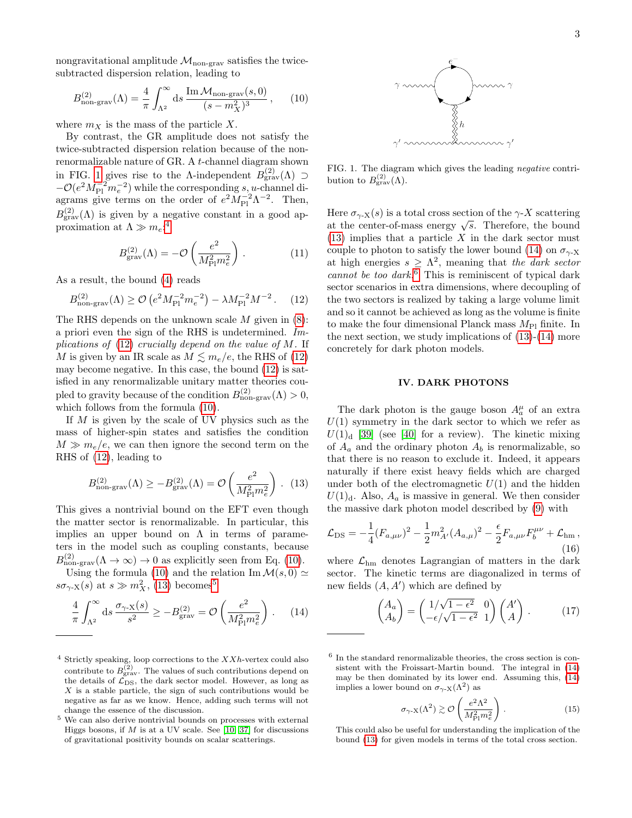nongravitational amplitude  $\mathcal{M}_{\text{non-grav}}$  satisfies the twicesubtracted dispersion relation, leading to

<span id="page-2-3"></span>
$$
B_{\text{non-grav}}^{(2)}(\Lambda) = \frac{4}{\pi} \int_{\Lambda^2}^{\infty} ds \, \frac{\text{Im}\,\mathcal{M}_{\text{non-grav}}(s,0)}{(s-m_X^2)^3} \,,\qquad(10)
$$

where  $m_X$  is the mass of the particle X.

By contrast, the GR amplitude does not satisfy the twice-subtracted dispersion relation because of the nonrenormalizable nature of GR. A t-channel diagram shown in FIG. [1](#page-2-0) gives rise to the  $\Lambda$ -independent  $B_{\text{grav}}^{(2)}(\Lambda) \supset$  $-\mathcal{O}(e^2M_{\rm Pl}^{-2}m_e^{-2})$  while the corresponding s, u-channel diagrams give terms on the order of  $e^2 M_{\rm Pl}^{-2} \Lambda^{-2}$ . Then,  $B_{\text{grav}}^{(2)}(\Lambda)$  is given by a negative constant in a good approximation at  $\Lambda \gg m_e$ :<sup>[4](#page-2-1)</sup>

$$
B_{\text{grav}}^{(2)}(\Lambda) = -\mathcal{O}\left(\frac{e^2}{M_{\text{Pl}}^2 m_e^2}\right). \tag{11}
$$

As a result, the bound [\(4\)](#page-0-1) reads

<span id="page-2-2"></span>
$$
B_{\text{non-grav}}^{(2)}(\Lambda) \ge \mathcal{O}\left(e^2 M_{\text{Pl}}^{-2} m_e^{-2}\right) - \lambda M_{\text{Pl}}^{-2} M^{-2} \,. \tag{12}
$$

The RHS depends on the unknown scale  $M$  given in  $(8)$ : a priori even the sign of the RHS is undetermined. Implications of  $(12)$  crucially depend on the value of M. If M is given by an IR scale as  $M \lesssim m_e/e$ , the RHS of [\(12\)](#page-2-2) may become negative. In this case, the bound [\(12\)](#page-2-2) is satisfied in any renormalizable unitary matter theories coupled to gravity because of the condition  $B_{\text{non-grav}}^{(2)}(\Lambda) > 0$ , which follows from the formula [\(10\)](#page-2-3).

If  $M$  is given by the scale of UV physics such as the mass of higher-spin states and satisfies the condition  $M \gg m_e/e$ , we can then ignore the second term on the RHS of [\(12\)](#page-2-2), leading to

<span id="page-2-4"></span>
$$
B_{\text{non-grav}}^{(2)}(\Lambda) \ge -B_{\text{grav}}^{(2)}(\Lambda) = \mathcal{O}\left(\frac{e^2}{M_{\text{Pl}}^2 m_e^2}\right). (13)
$$

This gives a nontrivial bound on the EFT even though the matter sector is renormalizable. In particular, this implies an upper bound on  $\Lambda$  in terms of parameters in the model such as coupling constants, because  $B_{\text{non-grav}}^{(2)}(\Lambda \to \infty) \to 0$  as explicitly seen from Eq. [\(10\)](#page-2-3).

Using the formula [\(10\)](#page-2-3) and the relation Im  $\mathcal{M}(s, 0) \simeq$  $s\sigma_{\gamma X}(s)$  at  $s \gg m_X^2$ , [\(13\)](#page-2-4) becomes<sup>[5](#page-2-5)</sup>

<span id="page-2-6"></span>
$$
\frac{4}{\pi} \int_{\Lambda^2}^{\infty} ds \, \frac{\sigma_{\gamma \cdot X}(s)}{s^2} \ge -B_{\text{grav}}^{(2)} = \mathcal{O}\left(\frac{e^2}{M_{\text{Pl}}^2 m_e^2}\right). \tag{14}
$$



<span id="page-2-0"></span>FIG. 1. The diagram which gives the leading negative contribution to  $B_{\rm grav}^{(2)}(\Lambda)$ .

Here  $\sigma_{\gamma X}(s)$  is a total cross section of the  $\gamma$ -X scattering There  $\sigma_{\gamma}$ - $\chi$ (s) is a total cross section of the  $\gamma$ - $\chi$  scattering<br>at the center-of-mass energy  $\sqrt{s}$ . Therefore, the bound  $(13)$  implies that a particle X in the dark sector must couple to photon to satisfy the lower bound [\(14\)](#page-2-6) on  $\sigma_{\gamma}$ -X at high energies  $s \geq \Lambda^2$ , meaning that the dark sector cannot be too dark.<sup>[6](#page-2-7)</sup> This is reminiscent of typical dark sector scenarios in extra dimensions, where decoupling of the two sectors is realized by taking a large volume limit and so it cannot be achieved as long as the volume is finite to make the four dimensional Planck mass  $M_{\rm Pl}$  finite. In the next section, we study implications of  $(13)-(14)$  $(13)-(14)$  $(13)-(14)$  more concretely for dark photon models.

#### IV. DARK PHOTONS

The dark photon is the gauge boson  $A_a^{\mu}$  of an extra  $U(1)$  symmetry in the dark sector to which we refer as  $U(1)_{\rm d}$  [\[39\]](#page-5-21) (see [\[40\]](#page-5-22) for a review). The kinetic mixing of  $A_a$  and the ordinary photon  $A_b$  is renormalizable, so that there is no reason to exclude it. Indeed, it appears naturally if there exist heavy fields which are charged under both of the electromagnetic  $U(1)$  and the hidden  $U(1)<sub>d</sub>$ . Also,  $A<sub>a</sub>$  is massive in general. We then consider the massive dark photon model described by [\(9\)](#page-1-3) with

$$
\mathcal{L}_{\rm DS} = -\frac{1}{4} (F_{a,\mu\nu})^2 - \frac{1}{2} m_{A'}^2 (A_{a,\mu})^2 - \frac{\epsilon}{2} F_{a,\mu\nu} F_b^{\mu\nu} + \mathcal{L}_{\rm hm} \,, \tag{16}
$$

where  $\mathcal{L}_{hm}$  denotes Lagrangian of matters in the dark sector. The kinetic terms are diagonalized in terms of new fields  $(A, A')$  which are defined by

<span id="page-2-8"></span>
$$
\begin{pmatrix} A_a \\ A_b \end{pmatrix} = \begin{pmatrix} 1/\sqrt{1 - \epsilon^2} & 0 \\ -\epsilon/\sqrt{1 - \epsilon^2} & 1 \end{pmatrix} \begin{pmatrix} A' \\ A \end{pmatrix} . \tag{17}
$$

$$
\sigma_{\gamma \cdot X}(\Lambda^2) \gtrsim \mathcal{O}\left(\frac{e^2 \Lambda^2}{M_{\text{Pl}}^2 m_e^2}\right). \tag{15}
$$

<span id="page-2-1"></span> $4$  Strictly speaking, loop corrections to the  $XXh$ -vertex could also contribute to  $B_{\text{grav}}^{(2)}$ . The values of such contributions depend on the details of  $\mathcal{L}_{\text{DS}}$ , the dark sector model. However, as long as  $X$  is a stable particle, the sign of such contributions would be negative as far as we know. Hence, adding such terms will not change the essence of the discussion.

<span id="page-2-5"></span><sup>5</sup> We can also derive nontrivial bounds on processes with external Higgs bosons, if  $M$  is at a UV scale. See [\[10,](#page-5-14) [37\]](#page-5-17) for discussions of gravitational positivity bounds on scalar scatterings.

<span id="page-2-7"></span><sup>6</sup> In the standard renormalizable theories, the cross section is consistent with the Froissart-Martin bound. The integral in [\(14\)](#page-2-6) may be then dominated by its lower end. Assuming this, [\(14\)](#page-2-6) implies a lower bound on  $\sigma_{\gamma}$ -<sub>X</sub>( $\Lambda$ <sup>2</sup>) as

This could also be useful for understanding the implication of the bound [\(13\)](#page-2-4) for given models in terms of the total cross section.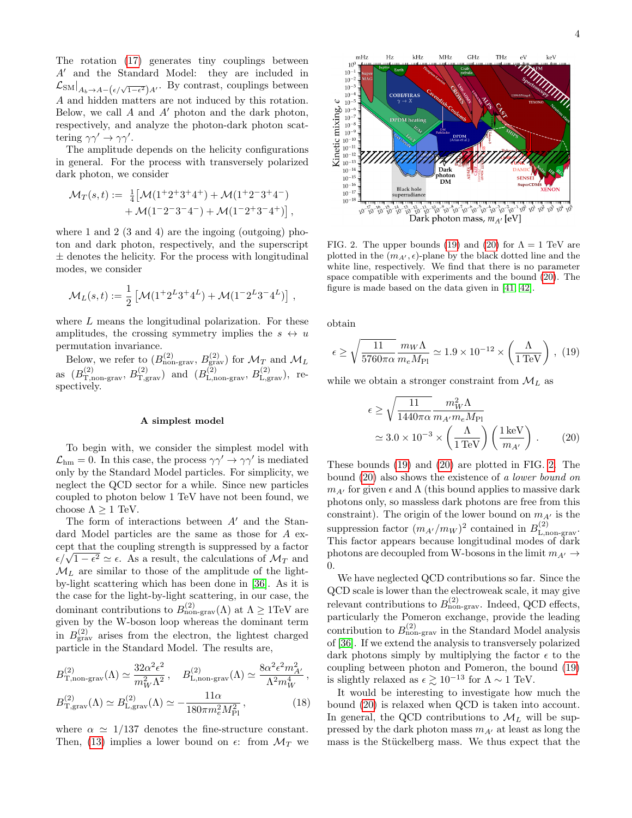The rotation [\(17\)](#page-2-8) generates tiny couplings between  $A'$  and the Standard Model: they are included in  $\mathcal{L}_{\text{SM}}|_{A_b \to A - (\epsilon/\sqrt{1-\epsilon^2})A'}$ . By contrast, couplings between A and hidden matters are not induced by this rotation. Below, we call  $A$  and  $A'$  photon and the dark photon, respectively, and analyze the photon-dark photon scattering  $\gamma \gamma' \rightarrow \gamma \gamma'$ .

The amplitude depends on the helicity configurations in general. For the process with transversely polarized dark photon, we consider

$$
\mathcal{M}_T(s,t) := \frac{1}{4} \left[ \mathcal{M} (1^+ 2^+ 3^+ 4^+) + \mathcal{M} (1^+ 2^- 3^+ 4^-) + \mathcal{M} (1^- 2^- 3^- 4^-) + \mathcal{M} (1^- 2^+ 3^- 4^+) \right],
$$

where 1 and 2  $(3 \text{ and } 4)$  are the ingoing (outgoing) photon and dark photon, respectively, and the superscript  $\pm$  denotes the helicity. For the process with longitudinal modes, we consider

$$
\mathcal{M}_L(s,t) := \frac{1}{2} \left[ \mathcal{M} (1^+ 2^L 3^+ 4^L) + \mathcal{M} (1^- 2^L 3^- 4^L) \right] ,
$$

where L means the longitudinal polarization. For these amplitudes, the crossing symmetry implies the  $s \leftrightarrow u$ permutation invariance.

Below, we refer to  $(B_{\text{non-grav}}^{(2)}, B_{\text{grav}}^{(2)})$  for  $\mathcal{M}_T$  and  $\mathcal{M}_L$ as  $(B_{\text{T},\text{non-grav}}^{(2)}, B_{\text{T},\text{grav}}^{(2)})$  and  $(B_{\text{L},\text{non-grav}}^{(2)}, B_{\text{L},\text{grav}}^{(2)})$ , respectively.

## A simplest model

To begin with, we consider the simplest model with  $\mathcal{L}_{hm} = 0$ . In this case, the process  $\gamma \gamma' \rightarrow \gamma \gamma'$  is mediated only by the Standard Model particles. For simplicity, we neglect the QCD sector for a while. Since new particles coupled to photon below 1 TeV have not been found, we choose  $\Lambda > 1$  TeV.

The form of interactions between  $A'$  and the Standard Model particles are the same as those for A except that the coupling strength is suppressed by a factor cept that the coupling strength is suppressed by a factor  $\epsilon/\sqrt{1-\epsilon^2} \simeq \epsilon$ . As a result, the calculations of  $\mathcal{M}_T$  and  $\mathcal{M}_L$  are similar to those of the amplitude of the lightby-light scattering which has been done in [\[36\]](#page-5-23). As it is the case for the light-by-light scattering, in our case, the dominant contributions to  $B_{\text{non-grav}}^{(2)}(\Lambda)$  at  $\Lambda \geq 1 \text{TeV}$  are given by the W-boson loop whereas the dominant term in  $B_{\text{grav}}^{(2)}$  arises from the electron, the lightest charged particle in the Standard Model. The results are,

$$
B_{\text{T,non-grav}}^{(2)}(\Lambda) \simeq \frac{32\alpha^2 \epsilon^2}{m_W^2 \Lambda^2}, \quad B_{\text{L,non-grav}}^{(2)}(\Lambda) \simeq \frac{8\alpha^2 \epsilon^2 m_{A'}^2}{\Lambda^2 m_W^4},
$$
  

$$
B_{\text{T,grav}}^{(2)}(\Lambda) \simeq B_{\text{L,grav}}^{(2)}(\Lambda) \simeq -\frac{11\alpha}{180\pi m_e^2 M_{\text{Pl}}^2},
$$
(18)

where  $\alpha \simeq 1/137$  denotes the fine-structure constant. Then, [\(13\)](#page-2-4) implies a lower bound on  $\epsilon$ : from  $\mathcal{M}_T$  we



<span id="page-3-2"></span>FIG. 2. The upper bounds [\(19\)](#page-3-0) and [\(20\)](#page-3-1) for  $\Lambda = 1$  TeV are plotted in the  $(m_{A}, \epsilon)$ -plane by the black dotted line and the white line, respectively. We find that there is no parameter space compatible with experiments and the bound [\(20\)](#page-3-1). The figure is made based on the data given in [\[41,](#page-5-24) [42\]](#page-5-25).

obtain

<span id="page-3-0"></span>
$$
\epsilon \ge \sqrt{\frac{11}{5760\pi\alpha}} \frac{m_W \Lambda}{m_e M_{\text{Pl}}} \simeq 1.9 \times 10^{-12} \times \left(\frac{\Lambda}{1 \,\text{TeV}}\right) , \tag{19}
$$

while we obtain a stronger constraint from  $\mathcal{M}_L$  as

<span id="page-3-1"></span>
$$
\epsilon \ge \sqrt{\frac{11}{1440\pi\alpha}} \frac{m_W^2 \Lambda}{m_{A'} m_e M_{\text{Pl}}} \n\simeq 3.0 \times 10^{-3} \times \left(\frac{\Lambda}{1 \,\text{TeV}}\right) \left(\frac{1 \,\text{keV}}{m_{A'}}\right) .
$$
\n(20)

These bounds [\(19\)](#page-3-0) and [\(20\)](#page-3-1) are plotted in FIG. [2.](#page-3-2) The bound [\(20\)](#page-3-1) also shows the existence of a lower bound on  $m_{A'}$  for given  $\epsilon$  and  $\Lambda$  (this bound applies to massive dark photons only, so massless dark photons are free from this constraint). The origin of the lower bound on  $m_{A'}$  is the suppression factor  $(m_{A'}/m_W)^2$  contained in  $B_{\text{L,non-grav}}^{(2)}$ . This factor appears because longitudinal modes of dark photons are decoupled from W-bosons in the limit  $m_{A'} \rightarrow$ 0.

We have neglected QCD contributions so far. Since the QCD scale is lower than the electroweak scale, it may give relevant contributions to  $B_{\text{non-grav}}^{(2)}$ . Indeed, QCD effects, particularly the Pomeron exchange, provide the leading contribution to  $B_{\text{non-grav}}^{(2)}$  in the Standard Model analysis of [\[36\]](#page-5-23). If we extend the analysis to transversely polarized dark photons simply by multiplying the factor  $\epsilon$  to the coupling between photon and Pomeron, the bound [\(19\)](#page-3-0) is slightly relaxed as  $\epsilon \gtrsim 10^{-13}$  for  $\Lambda \sim 1$  TeV.

It would be interesting to investigate how much the bound [\(20\)](#page-3-1) is relaxed when QCD is taken into account. In general, the QCD contributions to  $\mathcal{M}_L$  will be suppressed by the dark photon mass  $m_{A'}$  at least as long the mass is the Stückelberg mass. We thus expect that the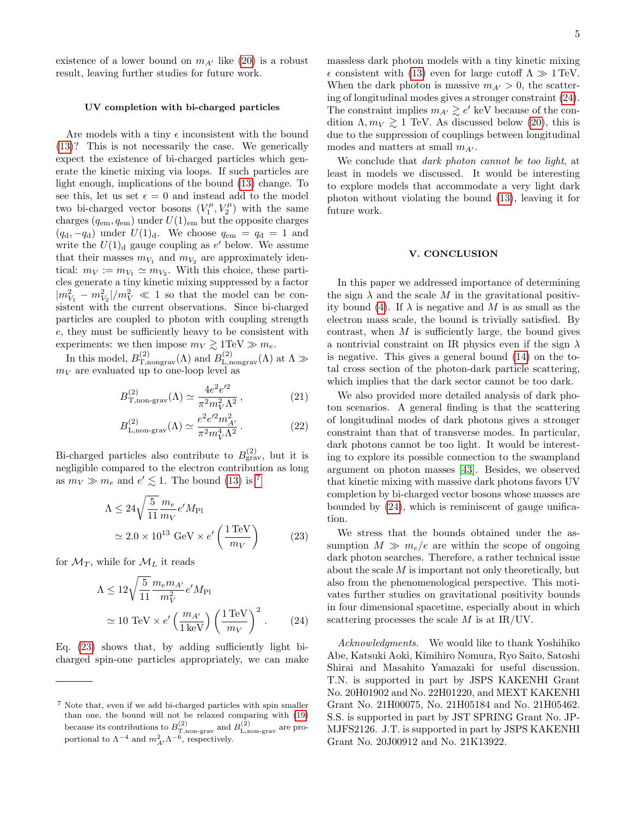existence of a lower bound on  $m_{A'}$  like [\(20\)](#page-3-1) is a robust result, leaving further studies for future work.

### UV completion with bi-charged particles

Are models with a tiny  $\epsilon$  inconsistent with the bound [\(13\)](#page-2-4)? This is not necessarily the case. We generically expect the existence of bi-charged particles which generate the kinetic mixing via loops. If such particles are light enough, implications of the bound [\(13\)](#page-2-4) change. To see this, let us set  $\epsilon = 0$  and instead add to the model two bi-charged vector bosons  $(V_1^{\mu}, V_2^{\mu})$  with the same charges  $(q_{em}, q_{em})$  under  $U(1)_{em}$  but the opposite charges  $(q_d, -q_d)$  under  $U(1)_d$ . We choose  $q_{em} = q_d = 1$  and write the  $U(1)<sub>d</sub>$  gauge coupling as  $e'$  below. We assume that their masses  $m_{V_1}$  and  $m_{V_2}$  are approximately identical:  $m_V := m_{V_1} \simeq m_{V_2}$ . With this choice, these particles generate a tiny kinetic mixing suppressed by a factor  $|m_{V_1}^2 - m_{V_2}^2|/m_V^2 \ll 1$  so that the model can be consistent with the current observations. Since bi-charged particles are coupled to photon with coupling strength e, they must be sufficiently heavy to be consistent with experiments: we then impose  $m_V \gtrsim 1 \text{TeV} \gg m_e$ .

In this model,  $B_{\textrm{T,nongrav}}^{(2)}(\Lambda)$  and  $B_{\textrm{L,nongrav}}^{(2)}(\Lambda)$  at  $\Lambda \gg$  $m_V$  are evaluated up to one-loop level as

$$
B_{\text{T},\text{non-grav}}^{(2)}(\Lambda) \simeq \frac{4e^2e'^2}{\pi^2m_V^2\Lambda^2},\tag{21}
$$

$$
B_{\text{L,non-grav}}^{(2)}(\Lambda) \simeq \frac{e^2 e'^2 m_{A'}^2}{\pi^2 m_V^4 \Lambda^2} \,. \tag{22}
$$

Bi-charged particles also contribute to  $B_{\rm grav}^{(2)}$ , but it is negligible compared to the electron contribution as long as  $m_V \gg m_e$  and  $e' \lesssim 1$ . The bound [\(13\)](#page-2-4) is <sup>[7](#page-4-0)</sup>

<span id="page-4-1"></span>
$$
\Lambda \le 24 \sqrt{\frac{5}{11}} \frac{m_e}{m_V} e^{\prime} M_{\text{Pl}}
$$
  

$$
\approx 2.0 \times 10^{13} \text{ GeV} \times e^{\prime} \left(\frac{1 \text{ TeV}}{m_V}\right)
$$
 (23)

for  $\mathcal{M}_T$ , while for  $\mathcal{M}_L$  it reads

<span id="page-4-2"></span>
$$
\Lambda \le 12 \sqrt{\frac{5}{11}} \frac{m_e m_{A'}}{m_V^2} e' M_{\text{Pl}}
$$
  

$$
\approx 10 \text{ TeV} \times e' \left(\frac{m_{A'}}{1 \text{ keV}}\right) \left(\frac{1 \text{ TeV}}{m_V}\right)^2.
$$
 (24)

Eq. [\(23\)](#page-4-1) shows that, by adding sufficiently light bicharged spin-one particles appropriately, we can make massless dark photon models with a tiny kinetic mixing  $\epsilon$  consistent with [\(13\)](#page-2-4) even for large cutoff  $\Lambda \gg 1 \text{ TeV}$ . When the dark photon is massive  $m_{A'} > 0$ , the scattering of longitudinal modes gives a stronger constraint [\(24\)](#page-4-2). The constraint implies  $m_{A'} \gtrsim e'$  keV because of the condition  $\Lambda, m_V \gtrsim 1$  TeV. As discussed below [\(20\)](#page-3-1), this is due to the suppression of couplings between longitudinal modes and matters at small  $m_{A'}$ .

We conclude that *dark photon cannot be too light*, at least in models we discussed. It would be interesting to explore models that accommodate a very light dark photon without violating the bound [\(13\)](#page-2-4), leaving it for future work.

### V. CONCLUSION

In this paper we addressed importance of determining the sign  $\lambda$  and the scale M in the gravitational positiv-ity bound [\(4\)](#page-0-1). If  $\lambda$  is negative and M is as small as the electron mass scale, the bound is trivially satisfied. By contrast, when  $M$  is sufficiently large, the bound gives a nontrivial constraint on IR physics even if the sign  $\lambda$ is negative. This gives a general bound [\(14\)](#page-2-6) on the total cross section of the photon-dark particle scattering, which implies that the dark sector cannot be too dark.

We also provided more detailed analysis of dark photon scenarios. A general finding is that the scattering of longitudinal modes of dark photons gives a stronger constraint than that of transverse modes. In particular, dark photons cannot be too light. It would be interesting to explore its possible connection to the swampland argument on photon masses [\[43\]](#page-5-26). Besides, we observed that kinetic mixing with massive dark photons favors UV completion by bi-charged vector bosons whose masses are bounded by [\(24\)](#page-4-2), which is reminiscent of gauge unification.

We stress that the bounds obtained under the assumption  $M \gg m_e/e$  are within the scope of ongoing dark photon searches. Therefore, a rather technical issue about the scale  $M$  is important not only theoretically, but also from the phenomenological perspective. This motivates further studies on gravitational positivity bounds in four dimensional spacetime, especially about in which scattering processes the scale  $M$  is at IR/UV.

Acknowledgments. We would like to thank Yoshihiko Abe, Katsuki Aoki, Kimihiro Nomura, Ryo Saito, Satoshi Shirai and Masahito Yamazaki for useful discussion. T.N. is supported in part by JSPS KAKENHI Grant No. 20H01902 and No. 22H01220, and MEXT KAKENHI Grant No. 21H00075, No. 21H05184 and No. 21H05462. S.S. is supported in part by JST SPRING Grant No. JP-MJFS2126. J.T. is supported in part by JSPS KAKENHI Grant No. 20J00912 and No. 21K13922.

<span id="page-4-0"></span><sup>7</sup> Note that, even if we add bi-charged particles with spin smaller than one, the bound will not be relaxed comparing with [\(19\)](#page-3-0) because its contributions to  $B_{\text{T,non-grav}}^{(2)}$  and  $B_{\text{L,non-grav}}^{(2)}$  are proportional to  $\Lambda^{-4}$  and  $m_{A'}^2 \Lambda^{-6}$ , respectively.